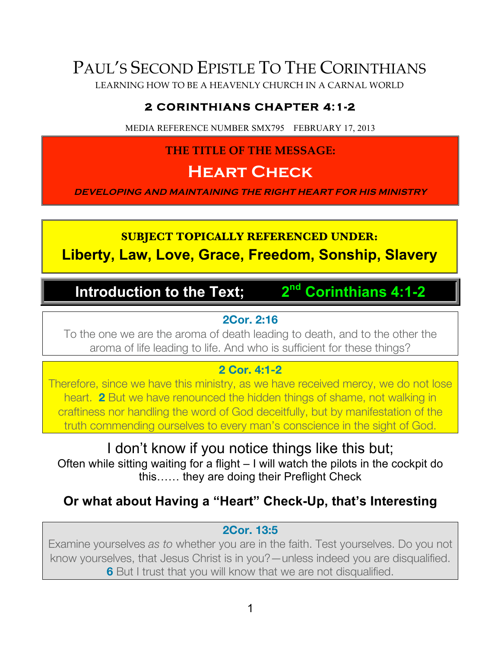## PAUL'S SECOND EPISTLE TO THE CORINTHIANS

LEARNING HOW TO BE A HEAVENLY CHURCH IN A CARNAL WORLD

#### **2 CORINTHIANS CHAPTER 4:1-2**

MEDIA REFERENCE NUMBER SMX795 FEBRUARY 17, 2013

**THE TITLE OF THE MESSAGE:**

## **Heart Check**

**DEVELOPING AND MAINTAINING THE RIGHT HEART FOR HIS MINISTRY**

### **SUBJECT TOPICALLY REFERENCED UNDER:**

**Liberty, Law, Love, Grace, Freedom, Sonship, Slavery**

### **Introduction to the Text; 2nd Corinthians 4:1-2**

#### **2Cor. 2:16**

To the one we are the aroma of death leading to death, and to the other the aroma of life leading to life. And who is sufficient for these things?

#### **2 Cor. 4:1-2**

Therefore, since we have this ministry, as we have received mercy, we do not lose heart. **2** But we have renounced the hidden things of shame, not walking in craftiness nor handling the word of God deceitfully, but by manifestation of the truth commending ourselves to every man's conscience in the sight of God.

#### I don't know if you notice things like this but; Often while sitting waiting for a flight – I will watch the pilots in the cockpit do this…… they are doing their Preflight Check

### **Or what about Having a "Heart" Check-Up, that's Interesting**

#### **2Cor. 13:5**

Examine yourselves *as to* whether you are in the faith. Test yourselves. Do you not know yourselves, that Jesus Christ is in you?—unless indeed you are disqualified. **6** But I trust that you will know that we are not disqualified.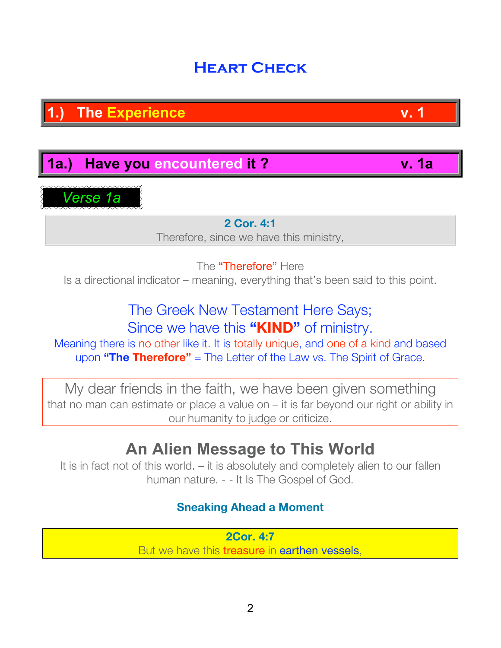## **Heart Check**

## **1.) The Experience v. 1**

## **1a.) Have you encountered it ? v. 1a**



**2 Cor. 4:1**

Therefore, since we have this ministry,

The "Therefore" Here

Is a directional indicator – meaning, everything that's been said to this point.

## The Greek New Testament Here Says; Since we have this **"KIND"** of ministry.

Meaning there is no other like it. It is totally unique, and one of a kind and based upon **"The Therefore"** = The Letter of the Law vs. The Spirit of Grace.

My dear friends in the faith, we have been given something that no man can estimate or place a value on – it is far beyond our right or ability in our humanity to judge or criticize.

## **An Alien Message to This World**

It is in fact not of this world. – it is absolutely and completely alien to our fallen human nature. - - It Is The Gospel of God.

#### **Sneaking Ahead a Moment**

**2Cor. 4:7** But we have this treasure in earthen vessels,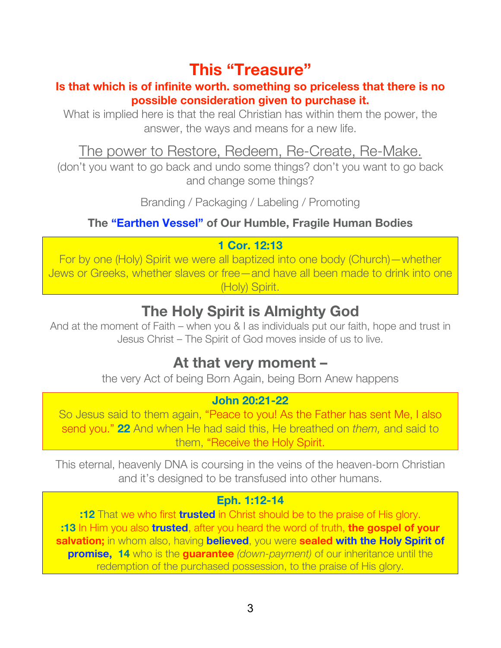## **This "Treasure"**

#### **Is that which is of infinite worth. something so priceless that there is no possible consideration given to purchase it.**

What is implied here is that the real Christian has within them the power, the answer, the ways and means for a new life.

The power to Restore, Redeem, Re-Create, Re-Make.

(don't you want to go back and undo some things? don't you want to go back and change some things?

Branding / Packaging / Labeling / Promoting

#### **The "Earthen Vessel" of Our Humble, Fragile Human Bodies**

#### **1 Cor. 12:13**

For by one (Holy) Spirit we were all baptized into one body (Church)—whether Jews or Greeks, whether slaves or free—and have all been made to drink into one (Holy) Spirit.

### **The Holy Spirit is Almighty God**

And at the moment of Faith – when you & I as individuals put our faith, hope and trust in Jesus Christ – The Spirit of God moves inside of us to live.

### **At that very moment –**

the very Act of being Born Again, being Born Anew happens

#### **John 20:21-22**

So Jesus said to them again, "Peace to you! As the Father has sent Me, I also send you." **22** And when He had said this, He breathed on *them,* and said to them, "Receive the Holy Spirit.

This eternal, heavenly DNA is coursing in the veins of the heaven-born Christian and it's designed to be transfused into other humans.

#### **Eph. 1:12-14**

**:12** That we who first **trusted** in Christ should be to the praise of His glory. **:13** In Him you also **trusted**, after you heard the word of truth, **the gospel of your salvation;** in whom also, having **believed**, you were **sealed with the Holy Spirit of promise, 14** who is the **guarantee** *(down-payment)* of our inheritance until the redemption of the purchased possession, to the praise of His glory.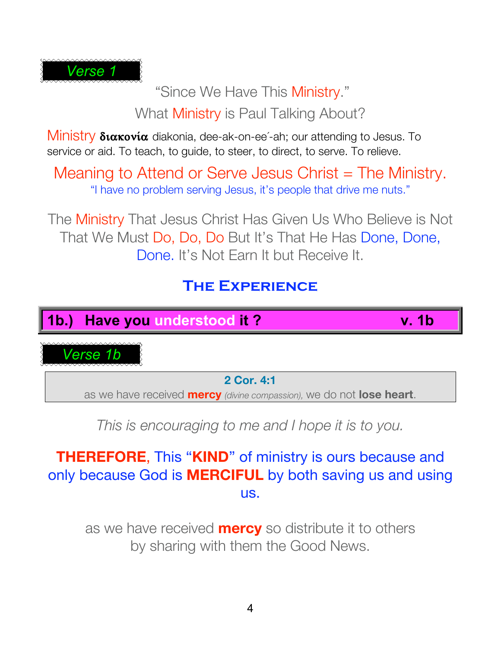

## "Since We Have This Ministry." What **Ministry** is Paul Talking About?

Ministry **διακονία** diakonia, dee-ak-on-ee´-ah; our attending to Jesus. To service or aid. To teach, to guide, to steer, to direct, to serve. To relieve.

Meaning to Attend or Serve Jesus Christ = The Ministry. "I have no problem serving Jesus, it's people that drive me nuts."

The Ministry That Jesus Christ Has Given Us Who Believe is Not That We Must Do, Do, Do But It's That He Has Done, Done, Done. It's Not Earn It but Receive It.

## **The Experience**

## **1b.) Have you understood it ? v. 1b**

*Verse 1b*

**2 Cor. 4:1**

as we have received **mercy** *(divine compassion),* we do not **lose heart**.

*This is encouraging to me and I hope it is to you.*

## **THEREFORE**, This "**KIND**" of ministry is ours because and only because God is **MERCIFUL** by both saving us and using us.

as we have received **mercy** so distribute it to others by sharing with them the Good News.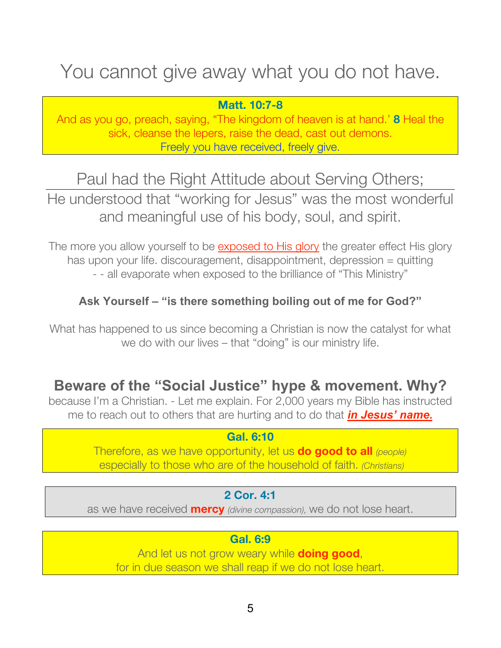## You cannot give away what you do not have.

**Matt. 10:7-8**

And as you go, preach, saying, "The kingdom of heaven is at hand.' **8** Heal the sick, cleanse the lepers, raise the dead, cast out demons. Freely you have received, freely give.

## Paul had the Right Attitude about Serving Others;

He understood that "working for Jesus" was the most wonderful and meaningful use of his body, soul, and spirit.

The more you allow yourself to be exposed to His glory the greater effect His glory has upon your life. discouragement, disappointment, depression = quitting - - all evaporate when exposed to the brilliance of "This Ministry"

#### **Ask Yourself – "is there something boiling out of me for God?"**

What has happened to us since becoming a Christian is now the catalyst for what we do with our lives – that "doing" is our ministry life.

### **Beware of the "Social Justice" hype & movement. Why?**

because I'm a Christian. - Let me explain. For 2,000 years my Bible has instructed me to reach out to others that are hurting and to do that *in Jesus' name.*

#### **Gal. 6:10**

Therefore, as we have opportunity, let us **do good to all** *(people)* especially to those who are of the household of faith. *(Christians)*

#### **2 Cor. 4:1**

as we have received **mercy** *(divine compassion),* we do not lose heart.

#### **Gal. 6:9**

And let us not grow weary while **doing good**, for in due season we shall reap if we do not lose heart.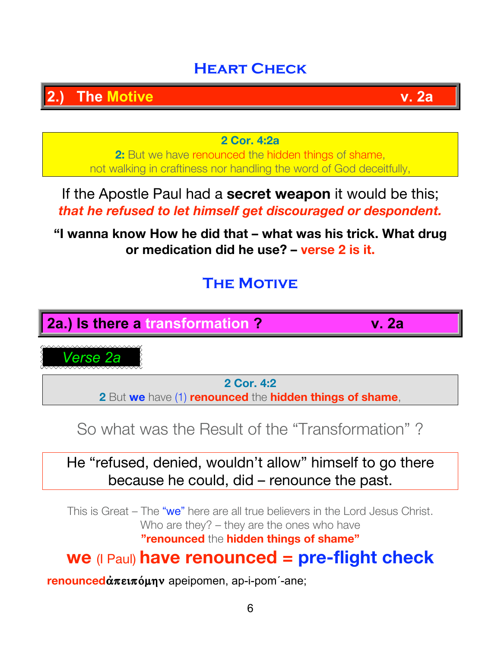### **Heart Check**

**2.) The Motive v. 2a**

**2 Cor. 4:2a**

**2:** But we have renounced the hidden things of shame, not walking in craftiness nor handling the word of God deceitfully,

If the Apostle Paul had a **secret weapon** it would be this; *that he refused to let himself get discouraged or despondent.*

**"I wanna know How he did that – what was his trick. What drug or medication did he use? – verse 2 is it.**

## **THE MOTIVE**

### **2a.) Is there a transformation ? v. 2a**

*Verse 2a*

**2 Cor. 4:2**

**2** But **we** have (1) **renounced** the **hidden things of shame**,

So what was the Result of the "Transformation" ?

### He "refused, denied, wouldn't allow" himself to go there because he could, did – renounce the past.

This is Great – The "we" here are all true believers in the Lord Jesus Christ. Who are they? – they are the ones who have **"renounced** the **hidden things of shame"**

## **we** (I Paul) **have renounced = pre-flight check**

renouncedαπειπόμην apeipomen, ap-i-pom<sup>-</sup>-ane;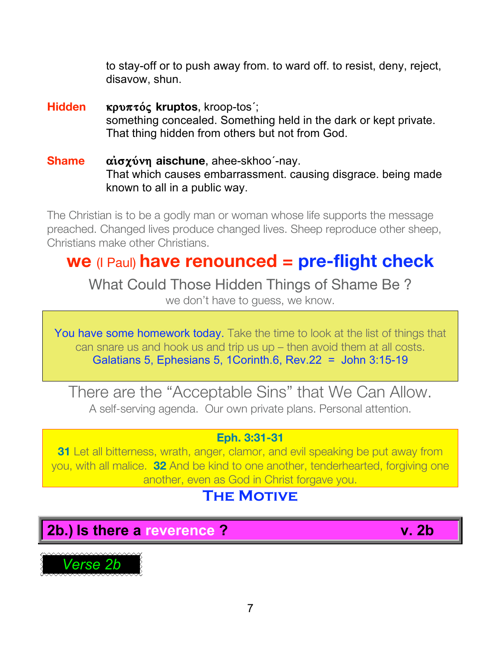to stay-off or to push away from. to ward off. to resist, deny, reject, disavow, shun.

**Hidden κρυπτός kruptos**, kroop-tos<sup>'</sup>; something concealed. Something held in the dark or kept private. That thing hidden from others but not from God.

**Shame** *α***iσχύνη aischune**, ahee-skhoo´-nay. That which causes embarrassment. causing disgrace. being made known to all in a public way.

The Christian is to be a godly man or woman whose life supports the message preached. Changed lives produce changed lives. Sheep reproduce other sheep, Christians make other Christians.

## **we** (I Paul) **have renounced = pre-flight check**

What Could Those Hidden Things of Shame Be ? we don't have to guess, we know.

You have some homework today. Take the time to look at the list of things that can snare us and hook us and trip us up – then avoid them at all costs. Galatians 5, Ephesians 5, 1Corinth.6, Rev.22 = John 3:15-19

There are the "Acceptable Sins" that We Can Allow. A self-serving agenda. Our own private plans. Personal attention.

#### **Eph. 3:31-31**

**31** Let all bitterness, wrath, anger, clamor, and evil speaking be put away from you, with all malice. **32** And be kind to one another, tenderhearted, forgiving one another, even as God in Christ forgave you.

### **The Motive**

**2b.) Is there a reverence ? v. 2b**

*Verse 2b*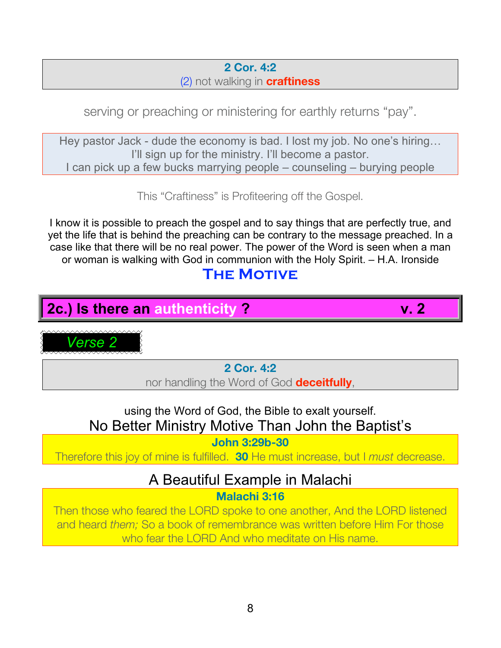#### **2 Cor. 4:2** (2) not walking in **craftiness**

#### serving or preaching or ministering for earthly returns "pay".

Hey pastor Jack - dude the economy is bad. I lost my job. No one's hiring… I'll sign up for the ministry. I'll become a pastor. I can pick up a few bucks marrying people – counseling – burying people

This "Craftiness" is Profiteering off the Gospel.

I know it is possible to preach the gospel and to say things that are perfectly true, and yet the life that is behind the preaching can be contrary to the message preached. In a case like that there will be no real power. The power of the Word is seen when a man or woman is walking with God in communion with the Holy Spirit. – H.A. Ironside

### **THE MOTIVE**

**2c.) Is there an authenticity ? v. 2**

*Verse 2*

**2 Cor. 4:2**

nor handling the Word of God **deceitfully**,

using the Word of God, the Bible to exalt yourself. No Better Ministry Motive Than John the Baptist's

**John 3:29b-30**

Therefore this joy of mine is fulfilled. **30** He must increase, but I *must* decrease.

## A Beautiful Example in Malachi

#### **Malachi 3:16**

Then those who feared the LORD spoke to one another, And the LORD listened and heard *them;* So a book of remembrance was written before Him For those who fear the LORD And who meditate on His name.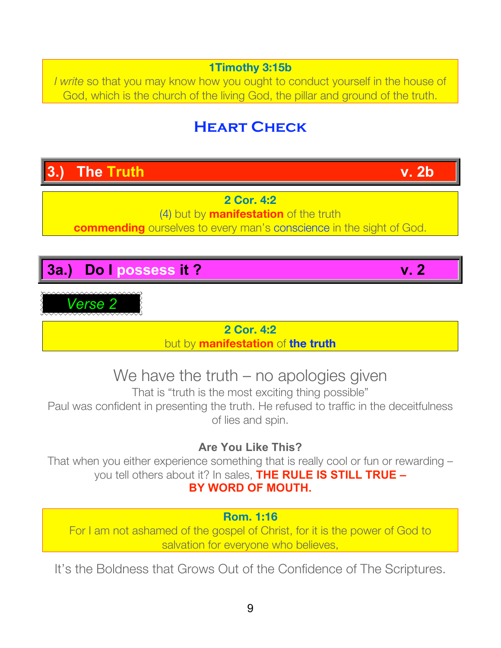#### **1Timothy 3:15b**

*I write* so that you may know how you ought to conduct yourself in the house of God, which is the church of the living God, the pillar and ground of the truth.

## **Heart Check**

## **3.) The Truth v. 2b**

**2 Cor. 4:2** (4) but by **manifestation** of the truth

**commending** ourselves to every man's conscience in the sight of God.

## **3a.) Do I possess it ? v. 2**

**2 Cor. 4:2** but by **manifestation** of **the truth**

We have the truth – no apologies given

That is "truth is the most exciting thing possible" Paul was confident in presenting the truth. He refused to traffic in the deceitfulness of lies and spin.

#### **Are You Like This?**

That when you either experience something that is really cool or fun or rewarding – you tell others about it? In sales, **THE RULE IS STILL TRUE – BY WORD OF MOUTH.**

#### **Rom. 1:16**

For I am not ashamed of the gospel of Christ, for it is the power of God to salvation for everyone who believes,

It's the Boldness that Grows Out of the Confidence of The Scriptures.

## *Verse 2*